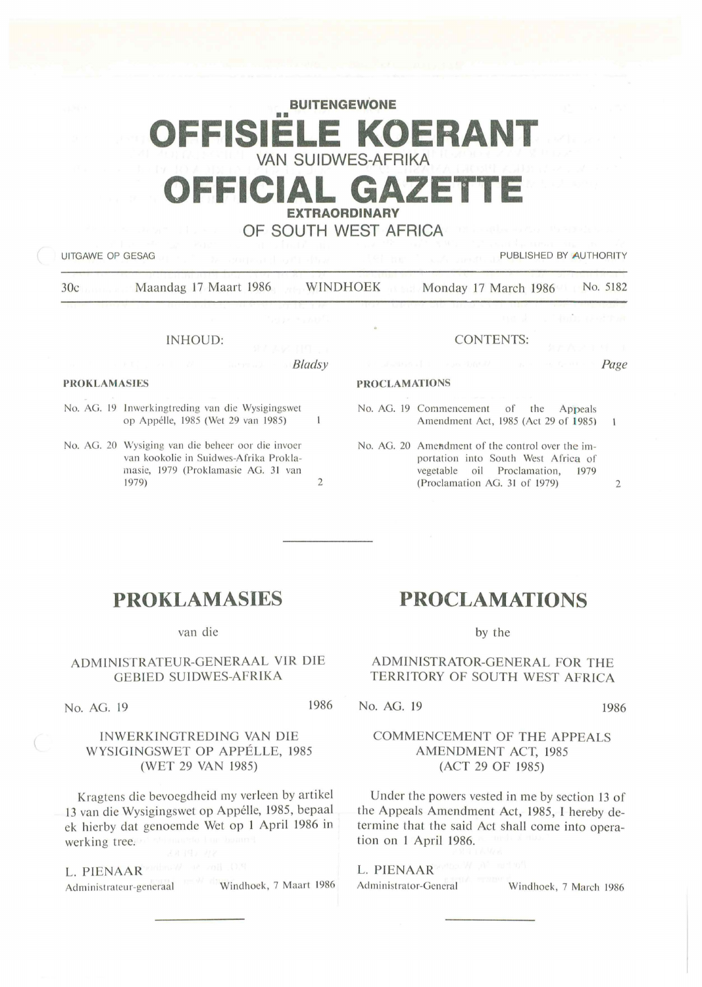# **BUITENGEWONE**  •• **OFFISIELE KOERANT VAN SUIDWES-AFRIKA DEFICIAL GAZET EXTRAORDINARY**

### **OF SOUTH WEST AFRICA**

UITGAWE OP GESAG PUBLISHED BY AUTHORITY

30c Maandag 17 Maart 1986 WINDHOEK Monday 17 March 1986 No. 5182

#### INHOUD:

#### *Bladsy*

#### **PROKLAMASIES**

- No. AG. 19 Inwerkingtreding van die Wysigingswet op Appélle, 1985 (Wet 29 van 1985)  $\mathbf{1}$
- No. AG. 20 Wysiging van die beheer oor die invoer van kookolie in Suidwes-Afrika Proklamasie, 1979 (Proklamasie AG. 31 van 1979) 2

### CONTENTS:

*Page* 

 $\mathbf{1}$ 

#### No. AG. 19 Commencement of the Appeals Amendment Act, 1985 (Act 29 of 1985)

PROCLAMATIONS

No. AG. 20 Amendment of the control over the importation into South West Africa of vegetable oil Proclamation, 1979  $(Proclamation AG. 31 of 1979)$  2

## **PROKLAMASIES**

#### van die

### ADMINISTRATEUR-GENERAAL VIR DIE GEBIED SUIDWES-AFRIKA

No. AG. 19 1986

#### INWERKINGTREDING VAN DIE WYSIGINGSWET OP APPELLE, 1985 (WET 29 VAN 1985)

Kragtens die bevoegdheid my verleen by artikel 13 van die Wysigingswet op Appélle, 1985, bepaal ek hierby dat genoemde Wet op 1 April 1986 in werking tree.

L. PIENAAR Administrateur-generaal Windhoek, 7 Maart 1986 Administrator-General Windhoek, 7 March 1986

## **PROCLAMATIONS**

by the

#### ADMINISTRATOR-GENERAL FOR THE TERRITORY OF SOUTH WEST AFRICA

No. AG. 19 1986

#### COMMENCEMENT OF THE APPEALS AMENDMENT ACT, 1985 (ACT 29 OF 1985)

Under the powers vested in me by section 13 of the Appeals Amendment Act, 1985, I hereby determine that the said Act shall come into operation on 1 April 1986.

# L. PIENAAR